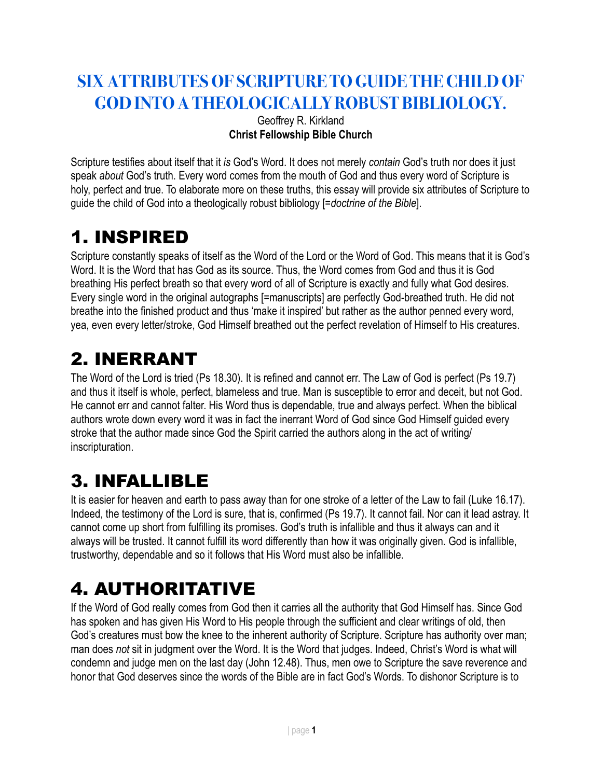#### **SIX ATTRIBUTES OF SCRIPTURE TO GUIDE THE CHILD OF GOD INTO A THEOLOGICALLY ROBUST BIBLIOLOGY.**

#### Geoffrey R. Kirkland **Christ Fellowship Bible Church**

Scripture testifies about itself that it *is* God's Word. It does not merely *contain* God's truth nor does it just speak *about* God's truth. Every word comes from the mouth of God and thus every word of Scripture is holy, perfect and true. To elaborate more on these truths, this essay will provide six attributes of Scripture to guide the child of God into a theologically robust bibliology [*=doctrine of the Bible*].

### 1. INSPIRED

Scripture constantly speaks of itself as the Word of the Lord or the Word of God. This means that it is God's Word. It is the Word that has God as its source. Thus, the Word comes from God and thus it is God breathing His perfect breath so that every word of all of Scripture is exactly and fully what God desires. Every single word in the original autographs [=manuscripts] are perfectly God-breathed truth. He did not breathe into the finished product and thus 'make it inspired' but rather as the author penned every word, yea, even every letter/stroke, God Himself breathed out the perfect revelation of Himself to His creatures.

### 2. INERRANT

The Word of the Lord is tried (Ps 18.30). It is refined and cannot err. The Law of God is perfect (Ps 19.7) and thus it itself is whole, perfect, blameless and true. Man is susceptible to error and deceit, but not God. He cannot err and cannot falter. His Word thus is dependable, true and always perfect. When the biblical authors wrote down every word it was in fact the inerrant Word of God since God Himself guided every stroke that the author made since God the Spirit carried the authors along in the act of writing/ inscripturation.

### 3. INFALLIBLE

It is easier for heaven and earth to pass away than for one stroke of a letter of the Law to fail (Luke 16.17). Indeed, the testimony of the Lord is sure, that is, confirmed (Ps 19.7). It cannot fail. Nor can it lead astray. It cannot come up short from fulfilling its promises. God's truth is infallible and thus it always can and it always will be trusted. It cannot fulfill its word differently than how it was originally given. God is infallible, trustworthy, dependable and so it follows that His Word must also be infallible.

# 4. AUTHORITATIVE

If the Word of God really comes from God then it carries all the authority that God Himself has. Since God has spoken and has given His Word to His people through the sufficient and clear writings of old, then God's creatures must bow the knee to the inherent authority of Scripture. Scripture has authority over man; man does *not* sit in judgment over the Word. It is the Word that judges. Indeed, Christ's Word is what will condemn and judge men on the last day (John 12.48). Thus, men owe to Scripture the save reverence and honor that God deserves since the words of the Bible are in fact God's Words. To dishonor Scripture is to